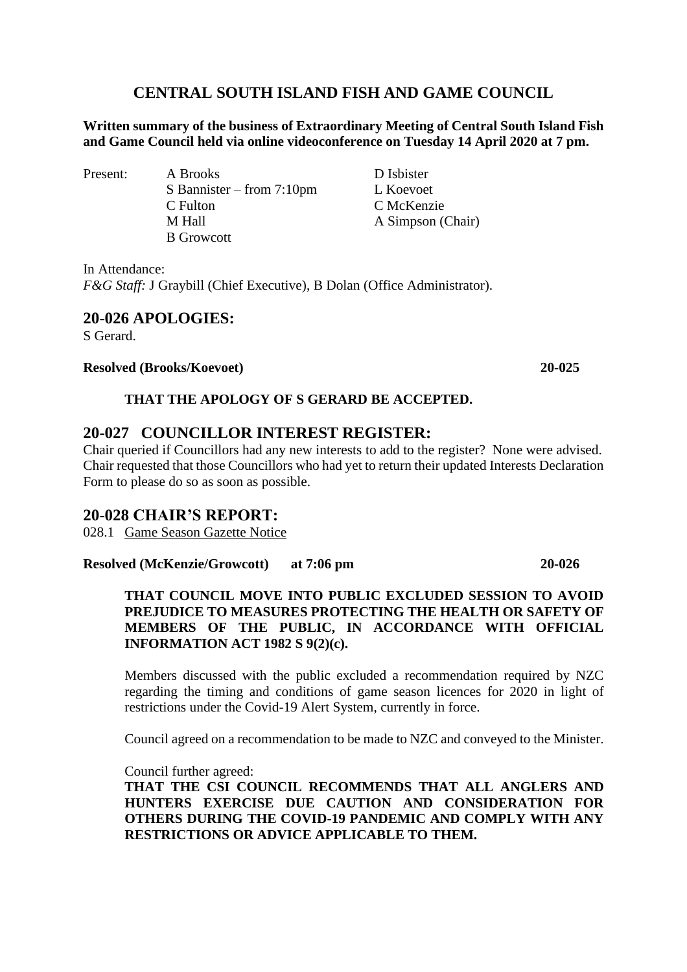# **CENTRAL SOUTH ISLAND FISH AND GAME COUNCIL**

**Written summary of the business of Extraordinary Meeting of Central South Island Fish and Game Council held via online videoconference on Tuesday 14 April 2020 at 7 pm.**

Present: A Brooks D Isbister S Bannister – from 7:10pm L Koevoet C Fulton C McKenzie M Hall A Simpson (Chair) B Growcott

In Attendance: *F&G Staff:* J Graybill (Chief Executive), B Dolan (Office Administrator).

## **20-026 APOLOGIES:**

S Gerard.

### **Resolved (Brooks/Koevoet) 20-025**

**THAT THE APOLOGY OF S GERARD BE ACCEPTED.**

## **20-027 COUNCILLOR INTEREST REGISTER:**

Chair queried if Councillors had any new interests to add to the register? None were advised. Chair requested that those Councillors who had yet to return their updated Interests Declaration Form to please do so as soon as possible.

## **20-028 CHAIR'S REPORT:**

028.1 Game Season Gazette Notice

**Resolved (McKenzie/Growcott) at 7:06 pm 20-026**

### **THAT COUNCIL MOVE INTO PUBLIC EXCLUDED SESSION TO AVOID PREJUDICE TO MEASURES PROTECTING THE HEALTH OR SAFETY OF MEMBERS OF THE PUBLIC, IN ACCORDANCE WITH OFFICIAL INFORMATION ACT 1982 S 9(2)(c).**

Members discussed with the public excluded a recommendation required by NZC regarding the timing and conditions of game season licences for 2020 in light of restrictions under the Covid-19 Alert System, currently in force.

Council agreed on a recommendation to be made to NZC and conveyed to the Minister.

Council further agreed:

**THAT THE CSI COUNCIL RECOMMENDS THAT ALL ANGLERS AND HUNTERS EXERCISE DUE CAUTION AND CONSIDERATION FOR OTHERS DURING THE COVID-19 PANDEMIC AND COMPLY WITH ANY RESTRICTIONS OR ADVICE APPLICABLE TO THEM.**